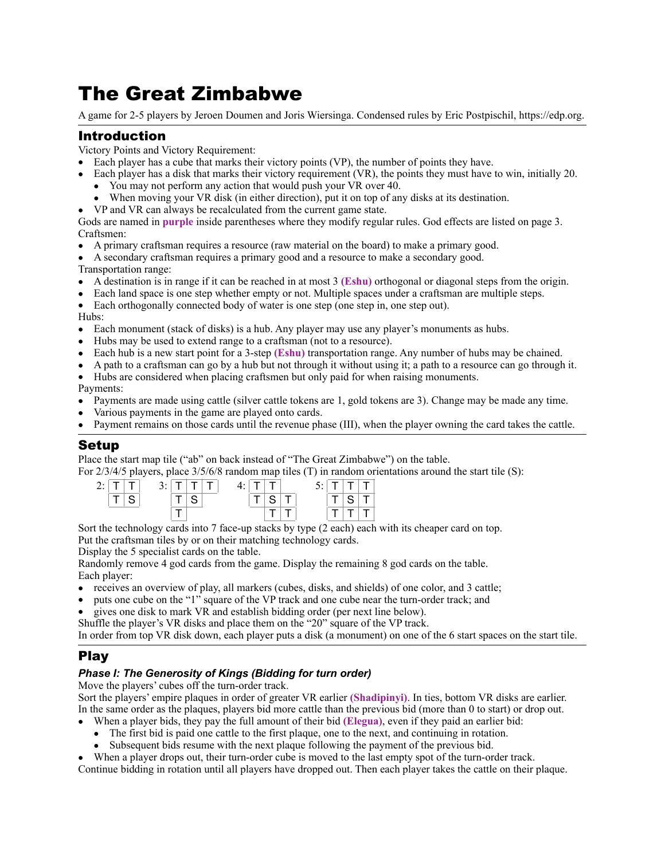# The Great Zimbabwe

A game for 2-5 players by Jeroen Doumen and Joris Wiersinga. Condensed rules by Eric Postpischil, https://edp.org.

# Introduction

Victory Points and Victory Requirement:

- Each player has a cube that marks their victory points (VP), the number of points they have.
- Each player has a disk that marks their victory requirement (VR), the points they must have to win, initially 20.
	- You may not perform any action that would push your VR over 40.
	- When moving your VR disk (in either direction), put it on top of any disks at its destination.
- VP and VR can always be recalculated from the current game state.

Gods are named in **purple** inside parentheses where they modify regular rules. God effects are listed on page 3. Craftsmen:

- A primary craftsman requires a resource (raw material on the board) to make a primary good.
- A secondary craftsman requires a primary good and a resource to make a secondary good.
- Transportation range:
- A destination is in range if it can be reached in at most 3 **(Eshu)** orthogonal or diagonal steps from the origin.
- Each land space is one step whether empty or not. Multiple spaces under a craftsman are multiple steps.

• Each orthogonally connected body of water is one step (one step in, one step out).

Hubs:

- Each monument (stack of disks) is a hub. Any player may use any player's monuments as hubs.
- Hubs may be used to extend range to a craftsman (not to a resource).
- Each hub is a new start point for a 3-step **(Eshu)** transportation range. Any number of hubs may be chained.
- A path to a craftsman can go by a hub but not through it without using it; a path to a resource can go through it.
- Hubs are considered when placing craftsmen but only paid for when raising monuments.

Payments:

- Payments are made using cattle (silver cattle tokens are 1, gold tokens are 3). Change may be made any time.
- Various payments in the game are played onto cards.
- Payment remains on those cards until the revenue phase (III), when the player owning the card takes the cattle.

#### Setup

Place the start map tile ("ab" on back instead of "The Great Zimbabwe") on the table.

For 2/3/4/5 players, place 3/5/6/8 random map tiles (T) in random orientations around the start tile (S):

| $2: \cdot $ |  | $3:$ $\vert$ T $\vert$ T $\vert$ T |  |  | $4:$ T T |  |  | $5:1T+T$ |  |  |
|-------------|--|------------------------------------|--|--|----------|--|--|----------|--|--|
|             |  |                                    |  |  |          |  |  |          |  |  |
|             |  |                                    |  |  |          |  |  |          |  |  |

Sort the technology cards into 7 face-up stacks by type (2 each) each with its cheaper card on top.

Put the craftsman tiles by or on their matching technology cards.

Display the 5 specialist cards on the table.

Randomly remove 4 god cards from the game. Display the remaining 8 god cards on the table. Each player:

- receives an overview of play, all markers (cubes, disks, and shields) of one color, and 3 cattle;
- puts one cube on the "1" square of the VP track and one cube near the turn-order track; and
- gives one disk to mark VR and establish bidding order (per next line below).
- Shuffle the player's VR disks and place them on the "20" square of the VP track.

In order from top VR disk down, each player puts a disk (a monument) on one of the 6 start spaces on the start tile.

## Play

#### *Phase I: The Generosity of Kings (Bidding for turn order)*

Move the players' cubes off the turn-order track.

Sort the players' empire plaques in order of greater VR earlier **(Shadipinyi)**. In ties, bottom VR disks are earlier. In the same order as the plaques, players bid more cattle than the previous bid (more than 0 to start) or drop out.

- When a player bids, they pay the full amount of their bid **(Elegua)**, even if they paid an earlier bid:
- The first bid is paid one cattle to the first plaque, one to the next, and continuing in rotation.<br>• Subsequent bids resume with the next plaque following the payment of the previous bid.
- Subsequent bids resume with the next plaque following the payment of the previous bid.

• When a player drops out, their turn-order cube is moved to the last empty spot of the turn-order track. Continue bidding in rotation until all players have dropped out. Then each player takes the cattle on their plaque.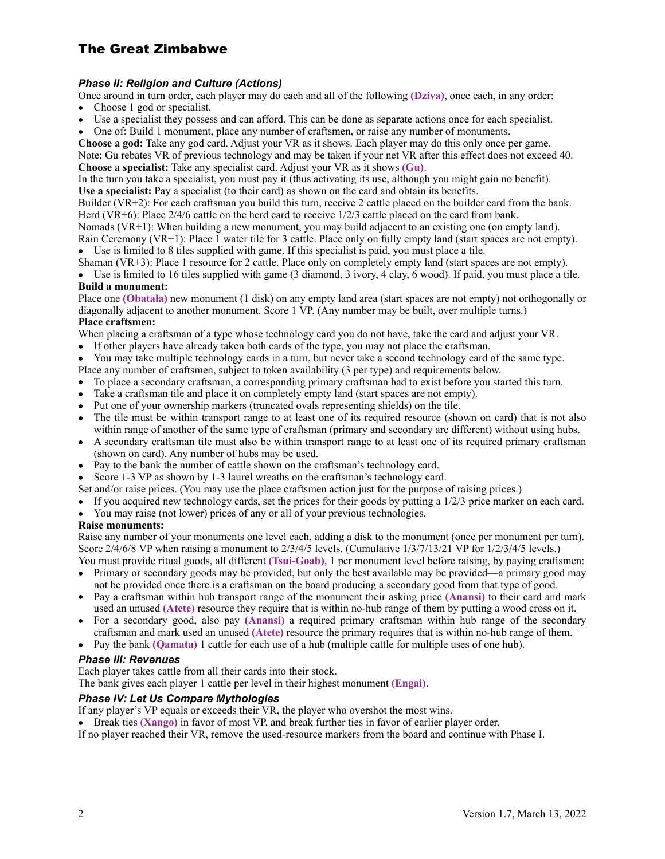# The Great Zimbabwe

#### *Phase II: Religion and Culture (Actions)*

Once around in turn order, each player may do each and all of the following **(Dziva)**, once each, in any order:

- Choose 1 god or specialist.
- Use a specialist they possess and can afford. This can be done as separate actions once for each specialist.
- One of: Build 1 monument, place any number of craftsmen, or raise any number of monuments.

**Choose a god:** Take any god card. Adjust your VR as it shows. Each player may do this only once per game. Note: Gu rebates VR of previous technology and may be taken if your net VR after this effect does not exceed 40. **Choose a specialist:** Take any specialist card. Adjust your VR as it shows **(Gu)**.

In the turn you take a specialist, you must pay it (thus activating its use, although you might gain no benefit). **Use a specialist:** Pay a specialist (to their card) as shown on the card and obtain its benefits.

Builder (VR+2): For each craftsman you build this turn, receive 2 cattle placed on the builder card from the bank. Herd (VR+6): Place 2/4/6 cattle on the herd card to receive 1/2/3 cattle placed on the card from bank.

Nomads (VR+1): When building a new monument, you may build adjacent to an existing one (on empty land).

Rain Ceremony (VR+1): Place 1 water tile for 3 cattle. Place only on fully empty land (start spaces are not empty). • Use is limited to 8 tiles supplied with game. If this specialist is paid, you must place a tile.

Shaman (VR+3): Place 1 resource for 2 cattle. Place only on completely empty land (start spaces are not empty).

• Use is limited to 16 tiles supplied with game  $(3 \text{ diamond}, 3 \text{ivory}, 4 \text{ clay}, 6 \text{ wood})$ . If paid, you must place a tile. **Build a monument:** 

Place one **(Obatala)** new monument (1 disk) on any empty land area (start spaces are not empty) not orthogonally or diagonally adjacent to another monument. Score 1 VP. (Any number may be built, over multiple turns.) **Place craftsmen:** 

When placing a craftsman of a type whose technology card you do not have, take the card and adjust your VR.

- If other players have already taken both cards of the type, you may not place the craftsman.
- You may take multiple technology cards in a turn, but never take a second technology card of the same type. Place any number of craftsmen, subject to token availability (3 per type) and requirements below.
- To place a secondary craftsman, a corresponding primary craftsman had to exist before you started this turn.
- Take a craftsman tile and place it on completely empty land (start spaces are not empty).
- Put one of your ownership markers (truncated ovals representing shields) on the tile.
- The tile must be within transport range to at least one of its required resource (shown on card) that is not also within range of another of the same type of craftsman (primary and secondary are different) without using hubs.
- A secondary craftsman tile must also be within transport range to at least one of its required primary craftsman (shown on card). Any number of hubs may be used.
- Pay to the bank the number of cattle shown on the craftsman's technology card.
- Score 1-3 VP as shown by 1-3 laurel wreaths on the craftsman's technology card.
- Set and/or raise prices. (You may use the place craftsmen action just for the purpose of raising prices.)
- If you acquired new technology cards, set the prices for their goods by putting a 1/2/3 price marker on each card.
- You may raise (not lower) prices of any or all of your previous technologies.

#### **Raise monuments:**

Raise any number of your monuments one level each, adding a disk to the monument (once per monument per turn). Score 2/4/6/8 VP when raising a monument to 2/3/4/5 levels. (Cumulative 1/3/7/13/21 VP for 1/2/3/4/5 levels.) You must provide ritual goods, all different **(Tsui-Goab)**, 1 per monument level before raising, by paying craftsmen:

- Primary or secondary goods may be provided, but only the best available may be provided—a primary good may not be provided once there is a craftsman on the board producing a secondary good from that type of good.
- Pay a craftsman within hub transport range of the monument their asking price **(Anansi)** to their card and mark used an unused **(Atete)** resource they require that is within no-hub range of them by putting a wood cross on it.
- For a secondary good, also pay **(Anansi)** a required primary craftsman within hub range of the secondary craftsman and mark used an unused **(Atete)** resource the primary requires that is within no-hub range of them.
- Pay the bank **(Qamata)** 1 cattle for each use of a hub (multiple cattle for multiple uses of one hub).

#### *Phase III: Revenues*

Each player takes cattle from all their cards into their stock.

The bank gives each player 1 cattle per level in their highest monument **(Engai)**.

#### *Phase IV: Let Us Compare Mythologies*

If any player's VP equals or exceeds their VR, the player who overshot the most wins.

• Break ties **(Xango)** in favor of most VP, and break further ties in favor of earlier player order.

If no player reached their VR, remove the used-resource markers from the board and continue with Phase I.